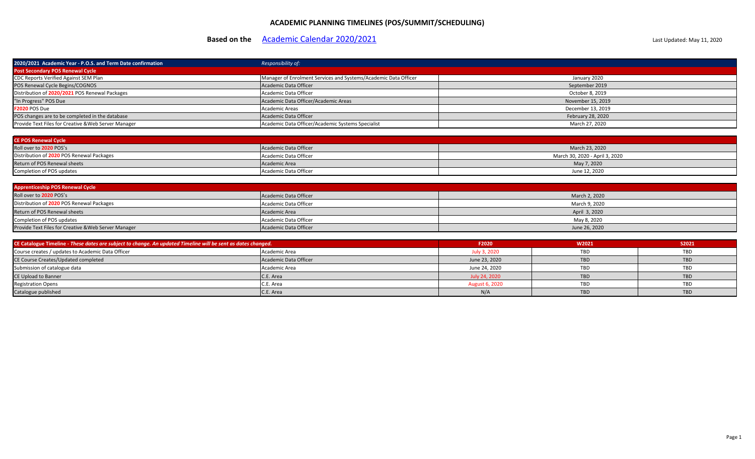## **ACADEMIC PLANNING TIMELINES (POS/SUMMIT/SCHEDULING)**

# **Based on the** [Academic Calendar 2020/2021](https://www.mohawkcollege.ca/become-a-student/academic-dates) **Academic Calendar 2020/2021** Last Updated: May 11, 2020

| 2020/2021 Academic Year - P.O.S. and Term Date confirmation | Responsibility of:                                              |                   |
|-------------------------------------------------------------|-----------------------------------------------------------------|-------------------|
| <b>Post Secondary POS Renewal Cycle</b>                     |                                                                 |                   |
| CDC Reports Verified Against SEM Plan                       | Manager of Enrolment Services and Systems/Academic Data Officer | January 2020      |
| POS Renewal Cycle Begins/COGNOS                             | Academic Data Officer                                           | September 2019    |
| Distribution of 2020/2021 POS Renewal Packages              | Academic Data Officer                                           | October 8, 2019   |
| "In Progress" POS Due                                       | Academic Data Officer/Academic Areas                            | November 15, 2019 |
| <b>F2020 POS Due</b>                                        | Academic Areas                                                  | December 13, 2019 |
| POS changes are to be completed in the database             | Academic Data Officer                                           | February 28, 2020 |
| Provide Text Files for Creative & Web Server Manager        | Academic Data Officer/Academic Systems Specialist               | March 27, 2020    |

| <b>CE POS Renewal Cycle</b>               |                       |                                |  |
|-------------------------------------------|-----------------------|--------------------------------|--|
| Roll over to 2020 POS's                   | Academic Data Officer | March 23, 2020                 |  |
| Distribution of 2020 POS Renewal Packages | Academic Data Officer | March 30, 2020 - April 3, 2020 |  |
| Return of POS Renewal sheets              | Academic Area         | May 7, 2020                    |  |
| Completion of POS updates                 | Academic Data Officer | June 12, 2020                  |  |

| <b>Apprenticeship POS Renewal Cycle</b>              |                       |               |  |
|------------------------------------------------------|-----------------------|---------------|--|
| Roll over to 2020 POS's                              | Academic Data Officer | March 2, 2020 |  |
| Distribution of 2020 POS Renewal Packages            | Academic Data Officer | March 9, 2020 |  |
| Return of POS Renewal sheets                         | Academic Area         | April 3, 2020 |  |
| Completion of POS updates                            | Academic Data Officer | May 8, 2020   |  |
| Provide Text Files for Creative & Web Server Manager | Academic Data Officer | June 26, 2020 |  |

| CE Catalogue Timeline - These dates are subject to change. An updated Timeline will be sent as dates changed. |                       | F2020          | W2021      | S2021      |
|---------------------------------------------------------------------------------------------------------------|-----------------------|----------------|------------|------------|
| Course creates / updates to Academic Data Officer                                                             | Academic Area         | July 3, 2020   | TBD        | TBD        |
| CE Course Creates/Updated completed                                                                           | Academic Data Officer | June 23, 2020  | <b>TBD</b> | <b>TBD</b> |
| Submission of catalogue data                                                                                  | Academic Area         | June 24, 2020  | TBD        | TBD        |
| <b>CE Upload to Banner</b>                                                                                    | C.E. Area             | July 24, 2020  | <b>TBD</b> | <b>TBD</b> |
| <b>Registration Opens</b>                                                                                     | C.E. Area             | August 6, 2020 | <b>TBD</b> | TBD        |
| Catalogue published                                                                                           | C.E. Area             | N/A            | <b>TBD</b> | <b>TBD</b> |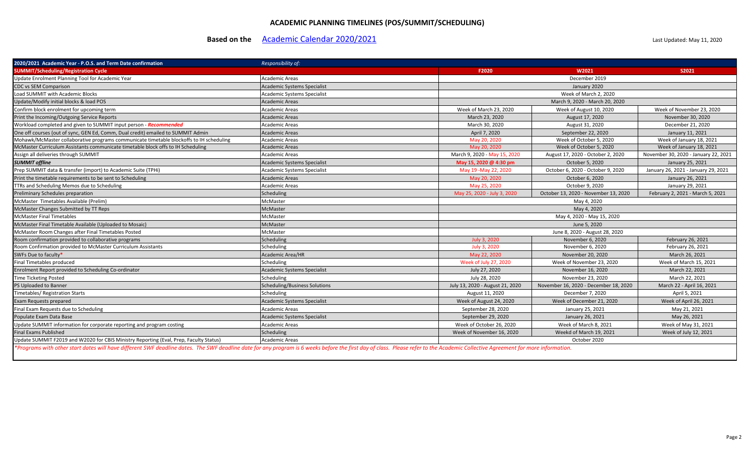### **ACADEMIC PLANNING TIMELINES (POS/SUMMIT/SCHEDULING)**

## **Based on the** [Academic Calendar 2020/2021](https://www.mohawkcollege.ca/become-a-student/academic-dates) **Academic Calendar 2020/2021** Last Updated: May 11, 2020

| 2020/2021 Academic Year - P.O.S. and Term Date confirmation                                        | Responsibility of:                   |                                 |                                       |                                      |  |
|----------------------------------------------------------------------------------------------------|--------------------------------------|---------------------------------|---------------------------------------|--------------------------------------|--|
| <b>SUMMIT/Scheduling/Registration Cycle</b>                                                        |                                      | F2020                           | W2021                                 | S2021                                |  |
| Update Enrolment Planning Tool for Academic Year                                                   | <b>Academic Areas</b>                |                                 | December 2019                         |                                      |  |
| <b>CDC vs SEM Comparison</b>                                                                       | Academic Systems Specialist          |                                 | January 2020                          |                                      |  |
| Load SUMMIT with Academic Blocks                                                                   | <b>Academic Systems Specialist</b>   |                                 | Week of March 2, 2020                 |                                      |  |
| Update/Modify initial blocks & load POS                                                            | <b>Academic Areas</b>                |                                 | March 9, 2020 - March 20, 2020        |                                      |  |
| Confirm block enrolment for upcoming term                                                          | <b>Academic Areas</b>                | Week of March 23, 2020          | Week of August 10, 2020               | Week of November 23, 2020            |  |
| Print the Incoming/Outgoing Service Reports                                                        | <b>Academic Areas</b>                | March 23, 2020                  | August 17, 2020                       | November 30, 2020                    |  |
| Workload completed and given to SUMMIT input person - Recommended                                  | <b>Academic Areas</b>                | March 30, 2020                  | August 31, 2020                       | December 21, 2020                    |  |
| One off courses (out of sync, GEN Ed, Comm, Dual credit) emailed to SUMMIT Admin                   | <b>Academic Areas</b>                | April 7, 2020                   | September 22, 2020                    | January 11, 2021                     |  |
| Mohawk/McMaster collaborative programs communicate timetable blockoffs to IH scheduling            | <b>Academic Areas</b>                | May 20, 2020                    | Week of October 5, 2020               | Week of January 18, 2021             |  |
| McMaster Curriculum Assistants communicate timetable block offs to IH Scheduling                   | <b>Academic Areas</b>                | May 20, 2020                    | Week of October 5, 2020               | Week of January 18, 2021             |  |
| Assign all deliveries through SUMMIT                                                               | <b>Academic Areas</b>                | March 9, 2020 - May 15, 2020    | August 17, 2020 - October 2, 2020     | November 30, 2020 - January 22, 2021 |  |
| <b>SUMMIT offline</b>                                                                              | <b>Academic Systems Specialist</b>   | May 15, 2020 @ 4:30 pm          | October 5, 2020                       | January 25, 2021                     |  |
| Prep SUMMIT data & transfer (import) to Academic Suite (TPHi)                                      | <b>Academic Systems Specialist</b>   | May 19 - May 22, 2020           | October 6, 2020 - October 9, 2020     | January 26, 2021 - January 29, 2021  |  |
| Print the timetable requirements to be sent to Scheduling                                          | <b>Academic Areas</b>                | May 20, 2020                    | October 6, 2020                       | January 26, 2021                     |  |
| TTRs and Scheduling Memos due to Scheduling                                                        | Academic Areas                       | May 25, 2020                    | October 9, 2020                       | January 29, 2021                     |  |
| Preliminary Schedules preparation                                                                  | Scheduling                           | May 25, 2020 - July 3, 2020     | October 13, 2020 - November 13, 2020  | February 2, 2021 - March 5, 2021     |  |
| McMaster Timetables Available (Prelim)                                                             | McMaster                             |                                 | May 4, 2020                           |                                      |  |
| McMaster Changes Submitted by TT Reps                                                              | <b>McMaster</b>                      |                                 | May 4, 2020                           |                                      |  |
| <b>McMaster Final Timetables</b>                                                                   | McMaster                             |                                 | May 4, 2020 - May 15, 2020            |                                      |  |
| McMaster Final Timetable Available (Uploaded to Mosaic)                                            | <b>McMaster</b>                      |                                 | June 5, 2020                          |                                      |  |
| McMaster Room Changes after Final Timetables Posted                                                | McMaster                             |                                 | June 8, 2020 - August 28, 2020        |                                      |  |
| Room confirmation provided to collaborative programs                                               | Scheduling                           | July 3, 2020                    | November 6, 2020                      | February 26, 2021                    |  |
| Room Confirmation provided to McMaster Curriculum Assistants                                       | Scheduling                           | July 3, 2020                    | November 6, 2020                      | February 26, 2021                    |  |
| SWFs Due to faculty*                                                                               | <b>Academic Area/HR</b>              | May 22, 2020                    | November 20, 2020                     | March 26, 2021                       |  |
| Final Timetables produced                                                                          | Scheduling                           | Week of July 27, 2020           | Week of November 23, 2020             | Week of March 15, 2021               |  |
| Enrolment Report provided to Scheduling Co-ordinator                                               | <b>Academic Systems Specialist</b>   | July 27, 2020                   | November 16, 2020                     | March 22, 2021                       |  |
| Time Ticketing Posted                                                                              | Scheduling                           | July 28, 2020                   | November 23, 2020                     | March 22, 2021                       |  |
| PS Uploaded to Banner                                                                              | <b>Scheduling/Business Solutions</b> | July 13, 2020 - August 21, 2020 | November 16, 2020 - December 18, 2020 | March 22 - April 16, 2021            |  |
| Timetables/ Registration Starts                                                                    | Scheduling                           | August 11, 2020                 | December 7, 2020                      | April 5, 2021                        |  |
| Exam Requests prepared                                                                             | <b>Academic Systems Specialist</b>   | Week of August 24, 2020         | Week of December 21, 2020             | Week of April 26, 2021               |  |
| Final Exam Requests due to Scheduling                                                              | <b>Academic Areas</b>                | September 28, 2020              | January 25, 2021                      | May 21, 2021                         |  |
| Populate Exam Data Base                                                                            | <b>Academic Systems Specialist</b>   | September 29, 2020              | January 26, 2021                      | May 26, 2021                         |  |
| Update SUMMIT information for corporate reporting and program costing                              | <b>Academic Areas</b>                | Week of October 26, 2020        | Week of March 8, 2021                 | Week of May 31, 2021                 |  |
| <b>Final Exams Published</b>                                                                       | Scheduling                           | Week of November 16, 2020       | Weekd of March 19, 2021               | Week of July 12, 2021                |  |
| Update SUMMIT F2019 and W2020 for CBIS Ministry Reporting (Eval, Prep, Faculty Status)             | <b>Academic Areas</b>                |                                 | October 2020                          |                                      |  |
| tale and account of the constitution of alternating charged and the continuous of the construction |                                      |                                 |                                       |                                      |  |

Programs with other start dates will have different SWF deadline dates. The SWF deadline date for any program is 6 weeks before the first day of class. Please refer to the Academic Collective Agreement for more information